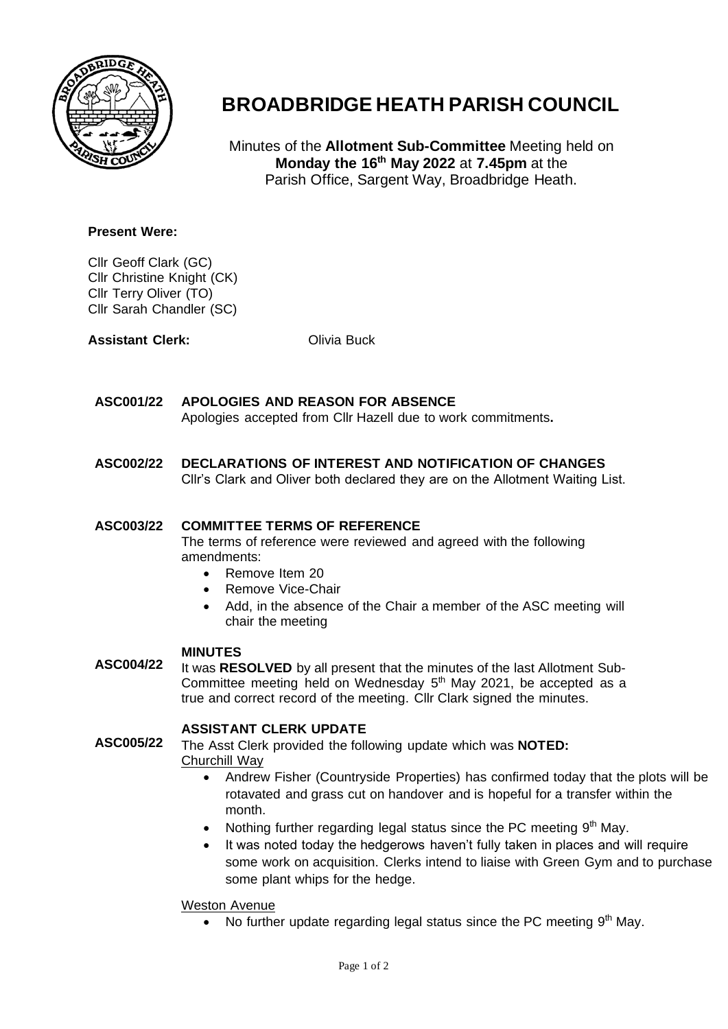

# **BROADBRIDGE HEATH PARISH COUNCIL**

Minutes of the **Allotment Sub-Committee** Meeting held on **Monday the 16th May 2022** at **7.45pm** at the Parish Office, Sargent Way, Broadbridge Heath.

## **Present Were:**

Cllr Geoff Clark (GC) Cllr Christine Knight (CK) Cllr Terry Oliver (TO) Cllr Sarah Chandler (SC)

**Assistant Clerk:** Olivia Buck

### **ASC001/22 APOLOGIES AND REASON FOR ABSENCE**

Apologies accepted from Cllr Hazell due to work commitments**.**

### **ASC002/22 DECLARATIONS OF INTEREST AND NOTIFICATION OF CHANGES**

Cllr's Clark and Oliver both declared they are on the Allotment Waiting List.

#### **ASC003/22 COMMITTEE TERMS OF REFERENCE**

The terms of reference were reviewed and agreed with the following amendments:

- Remove Item 20
- Remove Vice-Chair
- Add, in the absence of the Chair a member of the ASC meeting will chair the meeting

### **MINUTES**

**ASC004/22** It was **RESOLVED** by all present that the minutes of the last Allotment Sub-Committee meeting held on Wednesday  $5<sup>th</sup>$  May 2021, be accepted as a true and correct record of the meeting. Cllr Clark signed the minutes.

**ASSISTANT CLERK UPDATE**

**ASC005/22** The Asst Clerk provided the following update which was **NOTED:** Churchill Way

- Andrew Fisher (Countryside Properties) has confirmed today that the plots will be rotavated and grass cut on handover and is hopeful for a transfer within the month.
- Nothing further regarding legal status since the PC meeting  $9<sup>th</sup>$  May.
- It was noted today the hedgerows haven't fully taken in places and will require some work on acquisition. Clerks intend to liaise with Green Gym and to purchase some plant whips for the hedge.

# Weston Avenue

• No further update regarding legal status since the PC meeting  $9<sup>th</sup>$  May.